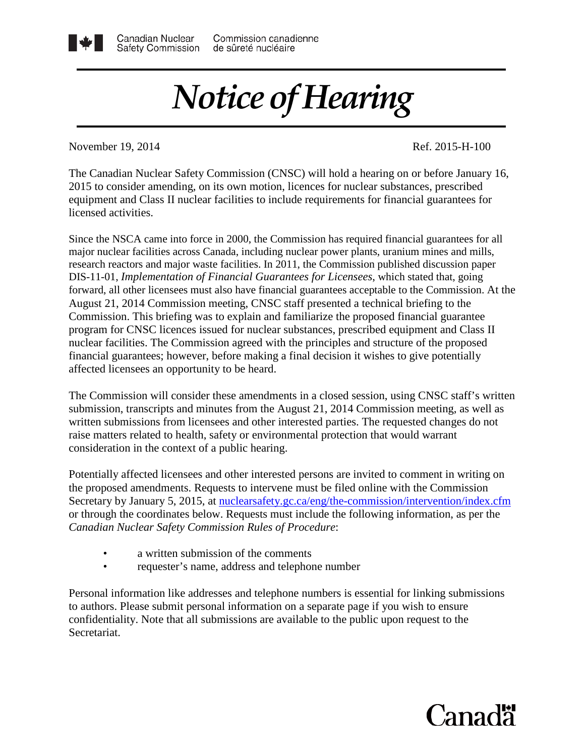## *Notice of Hearing*

November 19, 2014 Ref. 2015-H-100

Canadian Nuclear

The Canadian Nuclear Safety Commission (CNSC) will hold a hearing on or before January 16, 2015 to consider amending, on its own motion, licences for nuclear substances, prescribed equipment and Class II nuclear facilities to include requirements for financial guarantees for licensed activities.

Since the NSCA came into force in 2000, the Commission has required financial guarantees for all major nuclear facilities across Canada, including nuclear power plants, uranium mines and mills, research reactors and major waste facilities. In 2011, the Commission published discussion paper DIS-11-01, *Implementation of Financial Guarantees for Licensees*, which stated that, going forward, all other licensees must also have financial guarantees acceptable to the Commission. At the August 21, 2014 Commission meeting, CNSC staff presented a technical briefing to the Commission. This briefing was to explain and familiarize the proposed financial guarantee program for CNSC licences issued for nuclear substances, prescribed equipment and Class II nuclear facilities. The Commission agreed with the principles and structure of the proposed financial guarantees; however, before making a final decision it wishes to give potentially affected licensees an opportunity to be heard.

The Commission will consider these amendments in a closed session, using CNSC staff's written submission, transcripts and minutes from the August 21, 2014 Commission meeting, as well as written submissions from licensees and other interested parties. The requested changes do not raise matters related to health, safety or environmental protection that would warrant consideration in the context of a public hearing.

Potentially affected licensees and other interested persons are invited to comment in writing on the proposed amendments. Requests to intervene must be filed online with the Commission Secretary by January 5, 2015, at [nuclearsafety.gc.ca/eng/the-commission/intervention/index.cfm](http://www.nuclearsafety.gc.ca/eng/the-commission/intervention/index.cfm) or through the coordinates below. Requests must include the following information, as per the *Canadian Nuclear Safety Commission Rules of Procedure*:

- a written submission of the comments
- requester's name, address and telephone number

Personal information like addresses and telephone numbers is essential for linking submissions to authors. Please submit personal information on a separate page if you wish to ensure confidentiality. Note that all submissions are available to the public upon request to the Secretariat.